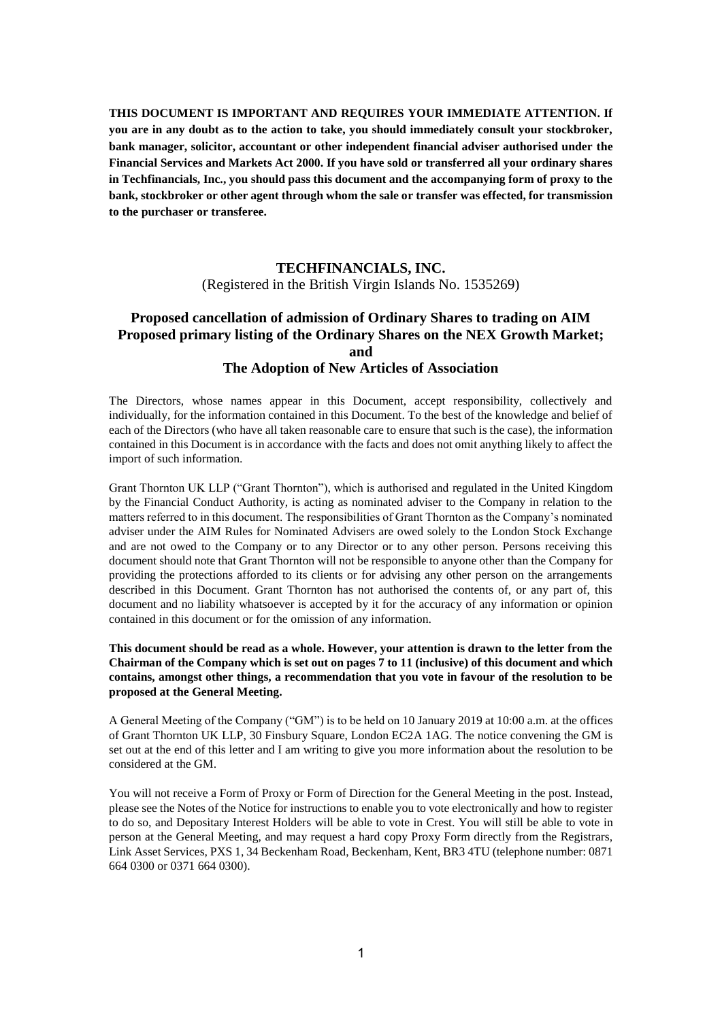**THIS DOCUMENT IS IMPORTANT AND REQUIRES YOUR IMMEDIATE ATTENTION. If you are in any doubt as to the action to take, you should immediately consult your stockbroker, bank manager, solicitor, accountant or other independent financial adviser authorised under the Financial Services and Markets Act 2000. If you have sold or transferred all your ordinary shares in Techfinancials, Inc., you should pass this document and the accompanying form of proxy to the bank, stockbroker or other agent through whom the sale or transfer was effected, for transmission to the purchaser or transferee.**

## **TECHFINANCIALS, INC.** (Registered in the British Virgin Islands No. 1535269)

## **Proposed cancellation of admission of Ordinary Shares to trading on AIM Proposed primary listing of the Ordinary Shares on the NEX Growth Market; and**

#### **The Adoption of New Articles of Association**

The Directors, whose names appear in this Document, accept responsibility, collectively and individually, for the information contained in this Document. To the best of the knowledge and belief of each of the Directors (who have all taken reasonable care to ensure that such is the case), the information contained in this Document is in accordance with the facts and does not omit anything likely to affect the import of such information.

Grant Thornton UK LLP ("Grant Thornton"), which is authorised and regulated in the United Kingdom by the Financial Conduct Authority, is acting as nominated adviser to the Company in relation to the matters referred to in this document. The responsibilities of Grant Thornton as the Company's nominated adviser under the AIM Rules for Nominated Advisers are owed solely to the London Stock Exchange and are not owed to the Company or to any Director or to any other person. Persons receiving this document should note that Grant Thornton will not be responsible to anyone other than the Company for providing the protections afforded to its clients or for advising any other person on the arrangements described in this Document. Grant Thornton has not authorised the contents of, or any part of, this document and no liability whatsoever is accepted by it for the accuracy of any information or opinion contained in this document or for the omission of any information.

#### **This document should be read as a whole. However, your attention is drawn to the letter from the Chairman of the Company which is set out on pages 7 to 11 (inclusive) of this document and which contains, amongst other things, a recommendation that you vote in favour of the resolution to be proposed at the General Meeting.**

A General Meeting of the Company ("GM") is to be held on 10 January 2019 at 10:00 a.m. at the offices of Grant Thornton UK LLP, 30 Finsbury Square, London EC2A 1AG. The notice convening the GM is set out at the end of this letter and I am writing to give you more information about the resolution to be considered at the GM.

You will not receive a Form of Proxy or Form of Direction for the General Meeting in the post. Instead, please see the Notes of the Notice for instructions to enable you to vote electronically and how to register to do so, and Depositary Interest Holders will be able to vote in Crest. You will still be able to vote in person at the General Meeting, and may request a hard copy Proxy Form directly from the Registrars, Link Asset Services, PXS 1, 34 Beckenham Road, Beckenham, Kent, BR3 4TU (telephone number: 0871 664 0300 or 0371 664 0300).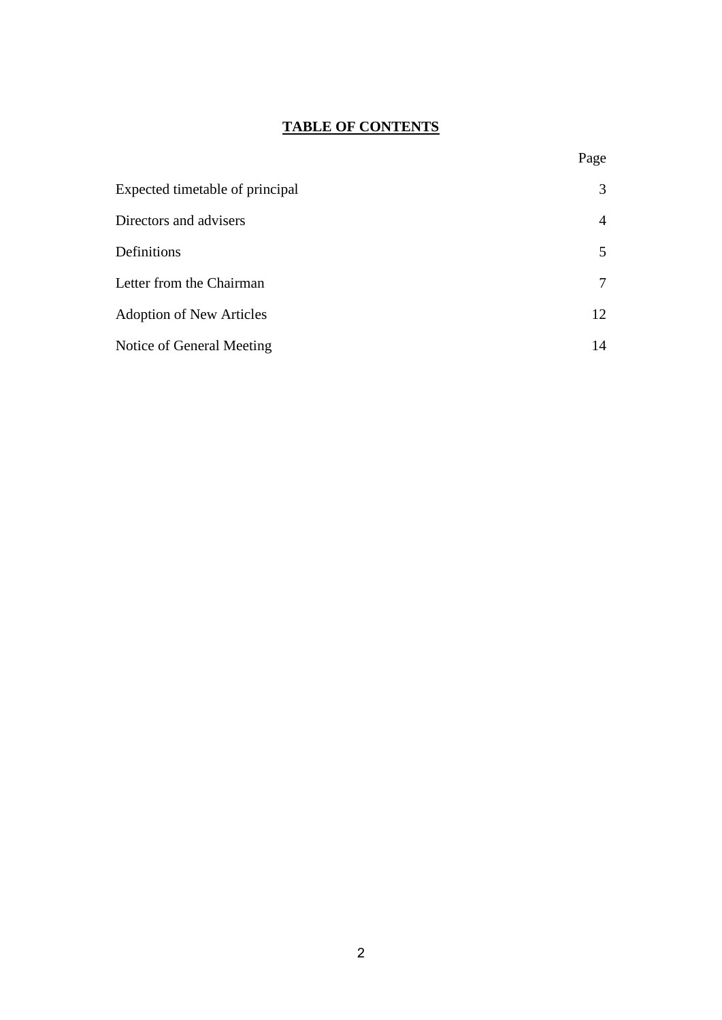# **TABLE OF CONTENTS**

| Expected timetable of principal | 3  |
|---------------------------------|----|
| Directors and advisers          | 4  |
| Definitions                     | 5  |
| Letter from the Chairman        | 7  |
| <b>Adoption of New Articles</b> | 12 |
| Notice of General Meeting       | 14 |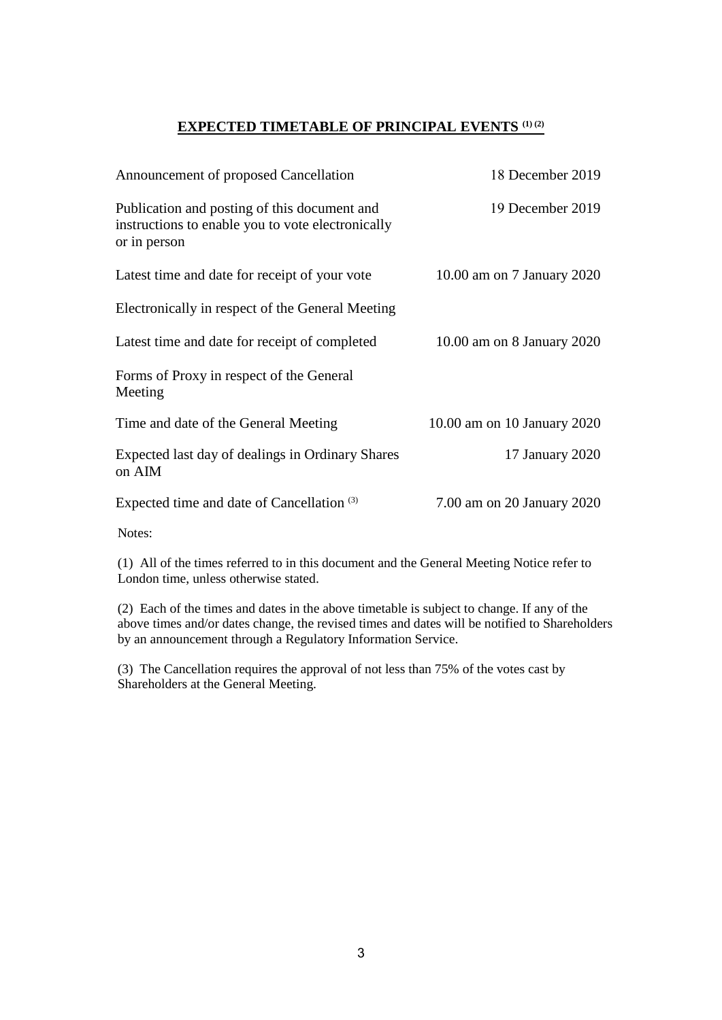## **EXPECTED TIMETABLE OF PRINCIPAL EVENTS (1) (2)**

| Announcement of proposed Cancellation                                                                             | 18 December 2019            |
|-------------------------------------------------------------------------------------------------------------------|-----------------------------|
| Publication and posting of this document and<br>instructions to enable you to vote electronically<br>or in person | 19 December 2019            |
| Latest time and date for receipt of your vote                                                                     | 10.00 am on 7 January 2020  |
| Electronically in respect of the General Meeting                                                                  |                             |
| Latest time and date for receipt of completed                                                                     | 10.00 am on 8 January 2020  |
| Forms of Proxy in respect of the General<br>Meeting                                                               |                             |
| Time and date of the General Meeting                                                                              | 10.00 am on 10 January 2020 |
| Expected last day of dealings in Ordinary Shares<br>on AIM                                                        | 17 January 2020             |
| Expected time and date of Cancellation <sup>(3)</sup>                                                             | 7.00 am on 20 January 2020  |

Notes:

(1) All of the times referred to in this document and the General Meeting Notice refer to London time, unless otherwise stated.

(2) Each of the times and dates in the above timetable is subject to change. If any of the above times and/or dates change, the revised times and dates will be notified to Shareholders by an announcement through a Regulatory Information Service.

(3) The Cancellation requires the approval of not less than 75% of the votes cast by Shareholders at the General Meeting.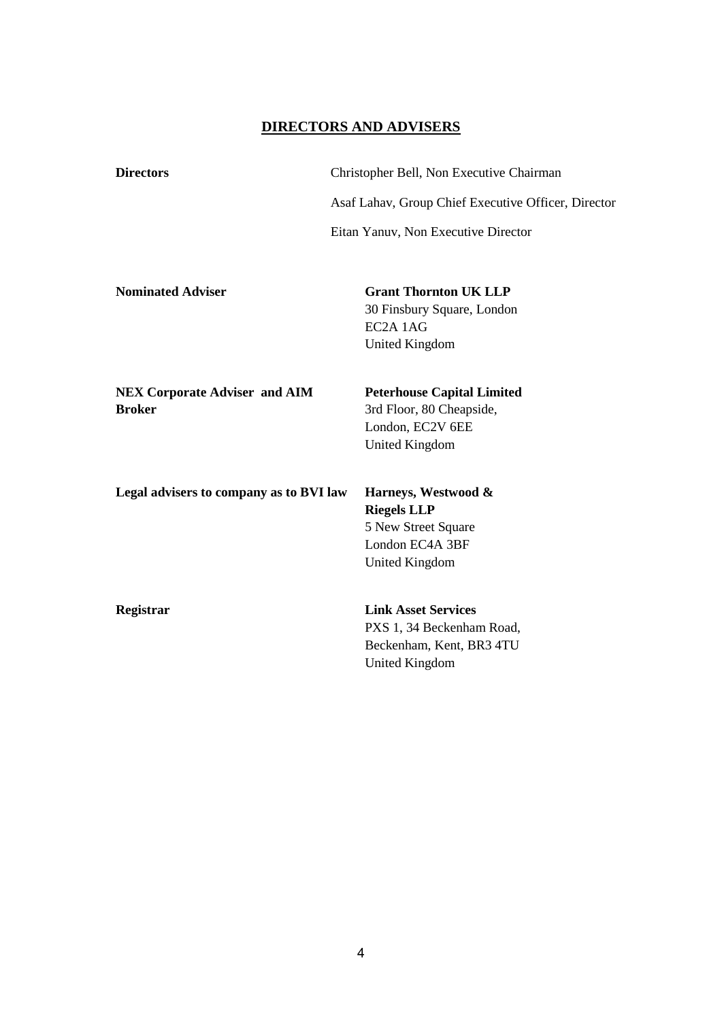### **DIRECTORS AND ADVISERS**

**Directors** Christopher Bell, Non Executive Chairman Asaf Lahav, Group Chief Executive Officer, Director Eitan Yanuv, Non Executive Director

**Nominated Adviser Grant Thornton UK LLP** 30 Finsbury Square, London EC2A 1AG United Kingdom

**NEX Corporate Adviser and AIM Broker**

**Peterhouse Capital Limited** 3rd Floor, 80 Cheapside, London, EC2V 6EE United Kingdom

**Legal advisers to company as to BVI law Harneys, Westwood &** 

**Riegels LLP** 5 New Street Square London EC4A 3BF United Kingdom

**Registrar Link Asset Services** PXS 1, 34 Beckenham Road, Beckenham, Kent, BR3 4TU United Kingdom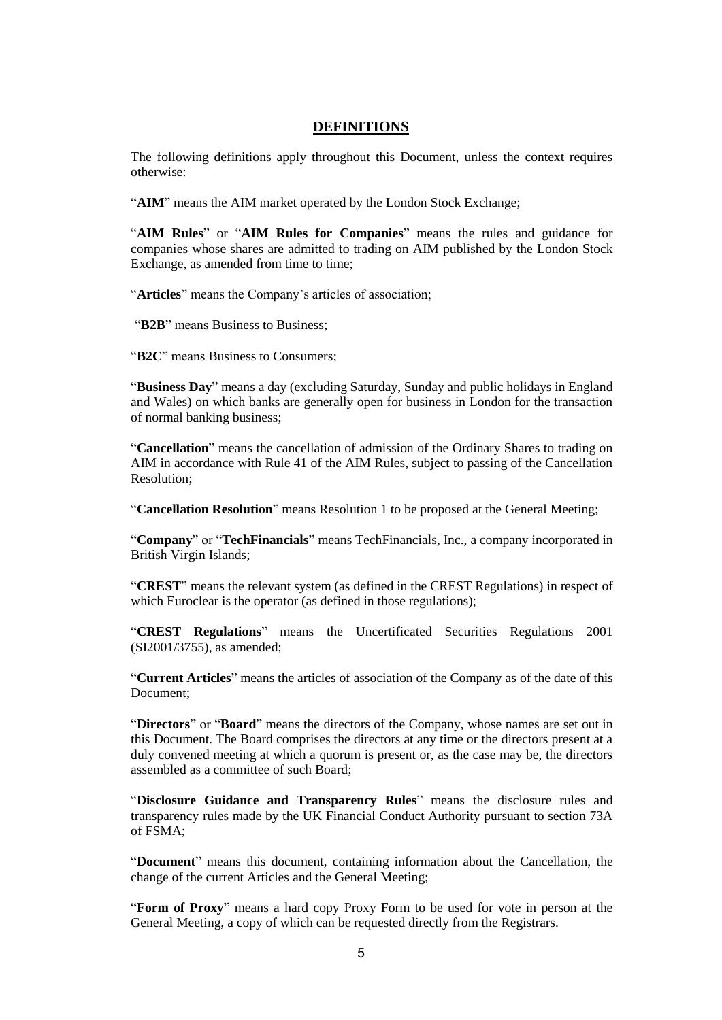#### **DEFINITIONS**

The following definitions apply throughout this Document, unless the context requires otherwise:

"AIM" means the AIM market operated by the London Stock Exchange;

"**AIM Rules**" or "**AIM Rules for Companies**" means the rules and guidance for companies whose shares are admitted to trading on AIM published by the London Stock Exchange, as amended from time to time;

"**Articles**" means the Company's articles of association;

"**B2B**" means Business to Business;

"**B2C**" means Business to Consumers;

"**Business Day**" means a day (excluding Saturday, Sunday and public holidays in England and Wales) on which banks are generally open for business in London for the transaction of normal banking business;

"**Cancellation**" means the cancellation of admission of the Ordinary Shares to trading on AIM in accordance with Rule 41 of the AIM Rules, subject to passing of the Cancellation Resolution;

"**Cancellation Resolution**" means Resolution 1 to be proposed at the General Meeting;

"**Company**" or "**TechFinancials**" means TechFinancials, Inc., a company incorporated in British Virgin Islands;

"**CREST**" means the relevant system (as defined in the CREST Regulations) in respect of which Euroclear is the operator (as defined in those regulations);

"**CREST Regulations**" means the Uncertificated Securities Regulations 2001 (SI2001/3755), as amended;

"**Current Articles**" means the articles of association of the Company as of the date of this Document;

"**Directors**" or "**Board**" means the directors of the Company, whose names are set out in this Document. The Board comprises the directors at any time or the directors present at a duly convened meeting at which a quorum is present or, as the case may be, the directors assembled as a committee of such Board;

"**Disclosure Guidance and Transparency Rules**" means the disclosure rules and transparency rules made by the UK Financial Conduct Authority pursuant to section 73A of  $FSMA$ <sup>.</sup>

"**Document**" means this document, containing information about the Cancellation, the change of the current Articles and the General Meeting;

"**Form of Proxy**" means a hard copy Proxy Form to be used for vote in person at the General Meeting, a copy of which can be requested directly from the Registrars.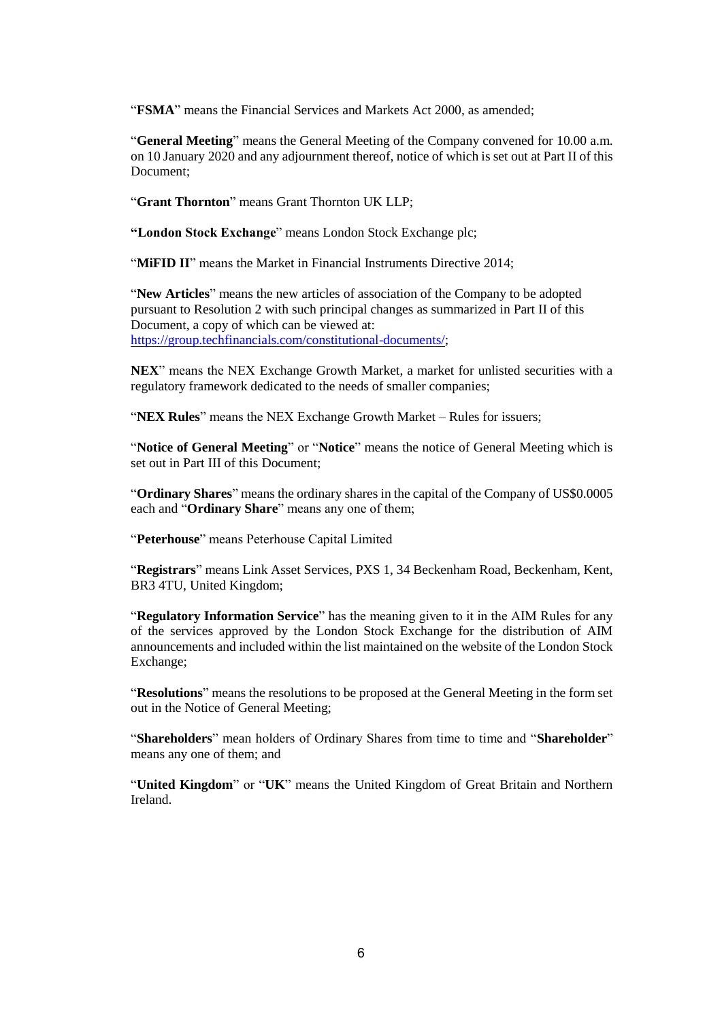"**FSMA**" means the Financial Services and Markets Act 2000, as amended;

"**General Meeting**" means the General Meeting of the Company convened for 10.00 a.m. on 10 January 2020 and any adjournment thereof, notice of which is set out at Part II of this Document;

"**Grant Thornton**" means Grant Thornton UK LLP;

**"London Stock Exchange**" means London Stock Exchange plc;

"**MIFID II**" means the Market in Financial Instruments Directive 2014;

"**New Articles**" means the new articles of association of the Company to be adopted pursuant to Resolution 2 with such principal changes as summarized in Part II of this Document, a copy of which can be viewed at: [https://group.techfinancials.com/constitutional-documents/;](https://group.techfinancials.com/constitutional-documents/)

**NEX**" means the NEX Exchange Growth Market, a market for unlisted securities with a regulatory framework dedicated to the needs of smaller companies;

"**NEX Rules**" means the NEX Exchange Growth Market – Rules for issuers;

"**Notice of General Meeting**" or "**Notice**" means the notice of General Meeting which is set out in Part III of this Document;

"**Ordinary Shares**" means the ordinary shares in the capital of the Company of US\$0.0005 each and "**Ordinary Share**" means any one of them;

"**Peterhouse**" means Peterhouse Capital Limited

"**Registrars**" means Link Asset Services, PXS 1, 34 Beckenham Road, Beckenham, Kent, BR3 4TU, United Kingdom;

"**Regulatory Information Service**" has the meaning given to it in the AIM Rules for any of the services approved by the London Stock Exchange for the distribution of AIM announcements and included within the list maintained on the website of the London Stock Exchange;

"**Resolutions**" means the resolutions to be proposed at the General Meeting in the form set out in the Notice of General Meeting;

"**Shareholders**" mean holders of Ordinary Shares from time to time and "**Shareholder**" means any one of them; and

"**United Kingdom**" or "**UK**" means the United Kingdom of Great Britain and Northern Ireland.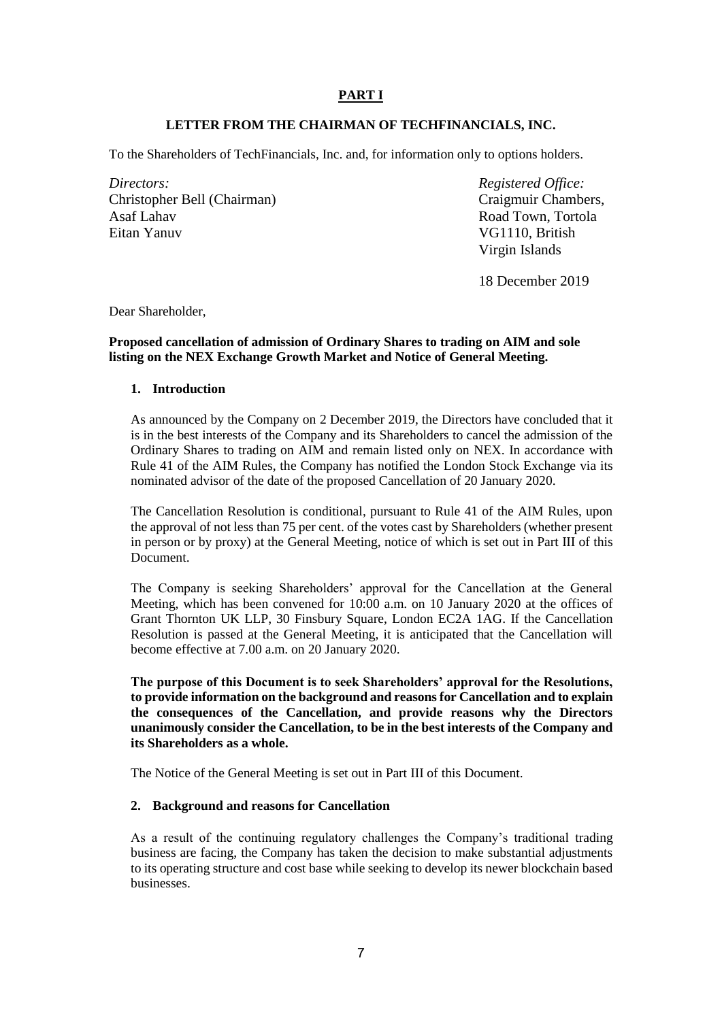### **PART I**

### **LETTER FROM THE CHAIRMAN OF TECHFINANCIALS, INC.**

To the Shareholders of TechFinancials, Inc. and, for information only to options holders.

*Directors: Registered Office:* Christopher Bell (Chairman) Asaf Lahav Eitan Yanuv

Craigmuir Chambers, Road Town, Tortola VG1110, British Virgin Islands

18 December 2019

Dear Shareholder,

#### **Proposed cancellation of admission of Ordinary Shares to trading on AIM and sole listing on the NEX Exchange Growth Market and Notice of General Meeting.**

#### **1. Introduction**

As announced by the Company on 2 December 2019, the Directors have concluded that it is in the best interests of the Company and its Shareholders to cancel the admission of the Ordinary Shares to trading on AIM and remain listed only on NEX. In accordance with Rule 41 of the AIM Rules, the Company has notified the London Stock Exchange via its nominated advisor of the date of the proposed Cancellation of 20 January 2020.

The Cancellation Resolution is conditional, pursuant to Rule 41 of the AIM Rules, upon the approval of not less than 75 per cent. of the votes cast by Shareholders (whether present in person or by proxy) at the General Meeting, notice of which is set out in Part III of this Document.

The Company is seeking Shareholders' approval for the Cancellation at the General Meeting, which has been convened for 10:00 a.m. on 10 January 2020 at the offices of Grant Thornton UK LLP, 30 Finsbury Square, London EC2A 1AG. If the Cancellation Resolution is passed at the General Meeting, it is anticipated that the Cancellation will become effective at 7.00 a.m. on 20 January 2020.

**The purpose of this Document is to seek Shareholders' approval for the Resolutions, to provide information on the background and reasons for Cancellation and to explain the consequences of the Cancellation, and provide reasons why the Directors unanimously consider the Cancellation, to be in the best interests of the Company and its Shareholders as a whole.**

The Notice of the General Meeting is set out in Part III of this Document.

#### **2. Background and reasons for Cancellation**

As a result of the continuing regulatory challenges the Company's traditional trading business are facing, the Company has taken the decision to make substantial adjustments to its operating structure and cost base while seeking to develop its newer blockchain based businesses.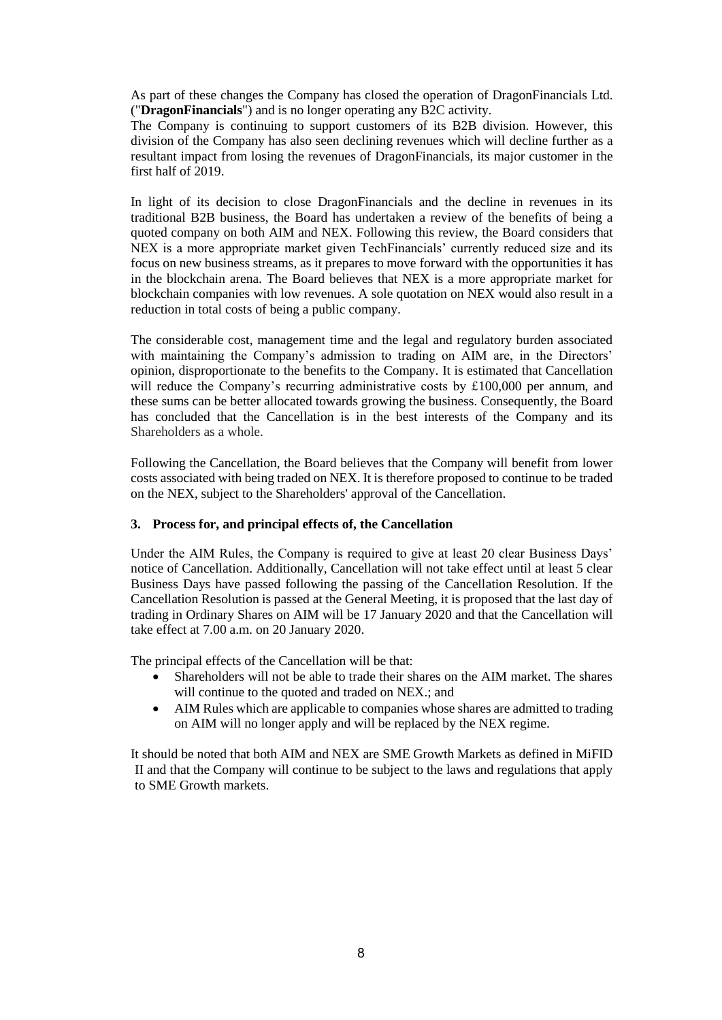As part of these changes the Company has closed the operation of DragonFinancials Ltd. ("**DragonFinancials**") and is no longer operating any B2C activity.

The Company is continuing to support customers of its B2B division. However, this division of the Company has also seen declining revenues which will decline further as a resultant impact from losing the revenues of DragonFinancials, its major customer in the first half of 2019.

In light of its decision to close DragonFinancials and the decline in revenues in its traditional B2B business, the Board has undertaken a review of the benefits of being a quoted company on both AIM and NEX. Following this review, the Board considers that NEX is a more appropriate market given TechFinancials' currently reduced size and its focus on new business streams, as it prepares to move forward with the opportunities it has in the blockchain arena. The Board believes that NEX is a more appropriate market for blockchain companies with low revenues. A sole quotation on NEX would also result in a reduction in total costs of being a public company.

The considerable cost, management time and the legal and regulatory burden associated with maintaining the Company's admission to trading on AIM are, in the Directors' opinion, disproportionate to the benefits to the Company. It is estimated that Cancellation will reduce the Company's recurring administrative costs by £100,000 per annum, and these sums can be better allocated towards growing the business. Consequently, the Board has concluded that the Cancellation is in the best interests of the Company and its Shareholders as a whole.

Following the Cancellation, the Board believes that the Company will benefit from lower costs associated with being traded on NEX. It is therefore proposed to continue to be traded on the NEX, subject to the Shareholders' approval of the Cancellation.

#### **3. Process for, and principal effects of, the Cancellation**

Under the AIM Rules, the Company is required to give at least 20 clear Business Days' notice of Cancellation. Additionally, Cancellation will not take effect until at least 5 clear Business Days have passed following the passing of the Cancellation Resolution. If the Cancellation Resolution is passed at the General Meeting, it is proposed that the last day of trading in Ordinary Shares on AIM will be 17 January 2020 and that the Cancellation will take effect at 7.00 a.m. on 20 January 2020.

The principal effects of the Cancellation will be that:

- Shareholders will not be able to trade their shares on the AIM market. The shares will continue to the quoted and traded on NEX.; and
- AIM Rules which are applicable to companies whose shares are admitted to trading on AIM will no longer apply and will be replaced by the NEX regime.

It should be noted that both AIM and NEX are SME Growth Markets as defined in MiFID II and that the Company will continue to be subject to the laws and regulations that apply to SME Growth markets.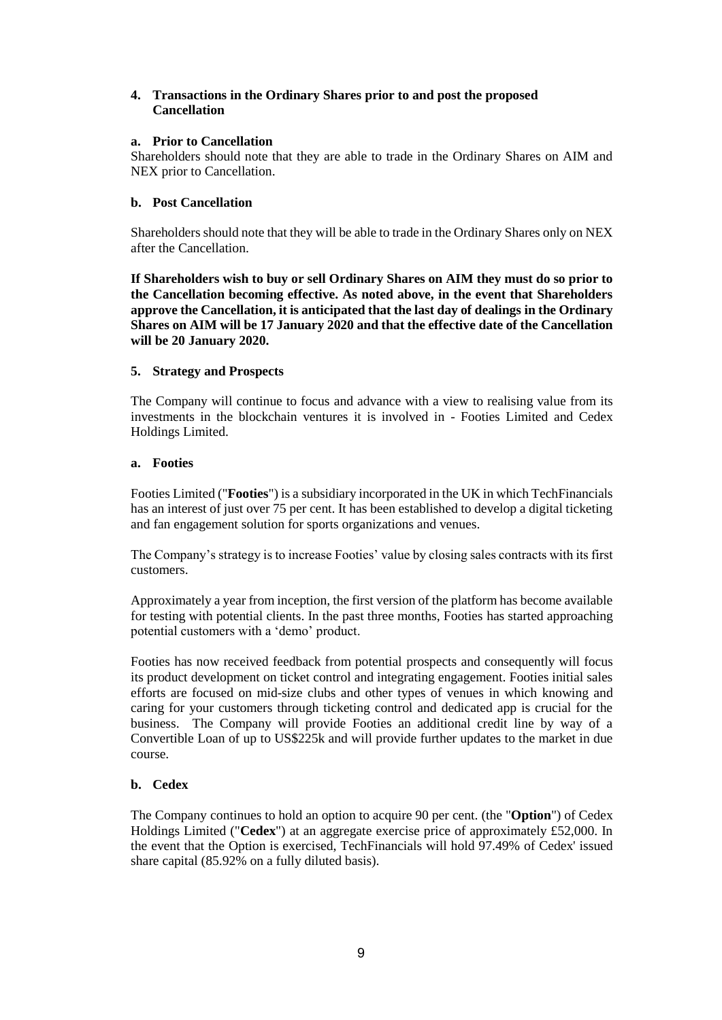#### **4. Transactions in the Ordinary Shares prior to and post the proposed Cancellation**

#### **a. Prior to Cancellation**

Shareholders should note that they are able to trade in the Ordinary Shares on AIM and NEX prior to Cancellation.

### **b. Post Cancellation**

Shareholders should note that they will be able to trade in the Ordinary Shares only on NEX after the Cancellation.

**If Shareholders wish to buy or sell Ordinary Shares on AIM they must do so prior to the Cancellation becoming effective. As noted above, in the event that Shareholders approve the Cancellation, it is anticipated that the last day of dealings in the Ordinary Shares on AIM will be 17 January 2020 and that the effective date of the Cancellation will be 20 January 2020.**

### **5. Strategy and Prospects**

The Company will continue to focus and advance with a view to realising value from its investments in the blockchain ventures it is involved in - Footies Limited and Cedex Holdings Limited.

#### **a. Footies**

Footies Limited ("**Footies**") is a subsidiary incorporated in the UK in which TechFinancials has an interest of just over 75 per cent. It has been established to develop a digital ticketing and fan engagement solution for sports organizations and venues.

The Company's strategy is to increase Footies' value by closing sales contracts with its first customers.

Approximately a year from inception, the first version of the platform has become available for testing with potential clients. In the past three months, Footies has started approaching potential customers with a 'demo' product.

Footies has now received feedback from potential prospects and consequently will focus its product development on ticket control and integrating engagement. Footies initial sales efforts are focused on mid-size clubs and other types of venues in which knowing and caring for your customers through ticketing control and dedicated app is crucial for the business. The Company will provide Footies an additional credit line by way of a Convertible Loan of up to US\$225k and will provide further updates to the market in due course.

#### **b. Cedex**

The Company continues to hold an option to acquire 90 per cent. (the "**Option**") of Cedex Holdings Limited ("**Cedex**") at an aggregate exercise price of approximately £52,000. In the event that the Option is exercised, TechFinancials will hold 97.49% of Cedex' issued share capital (85.92% on a fully diluted basis).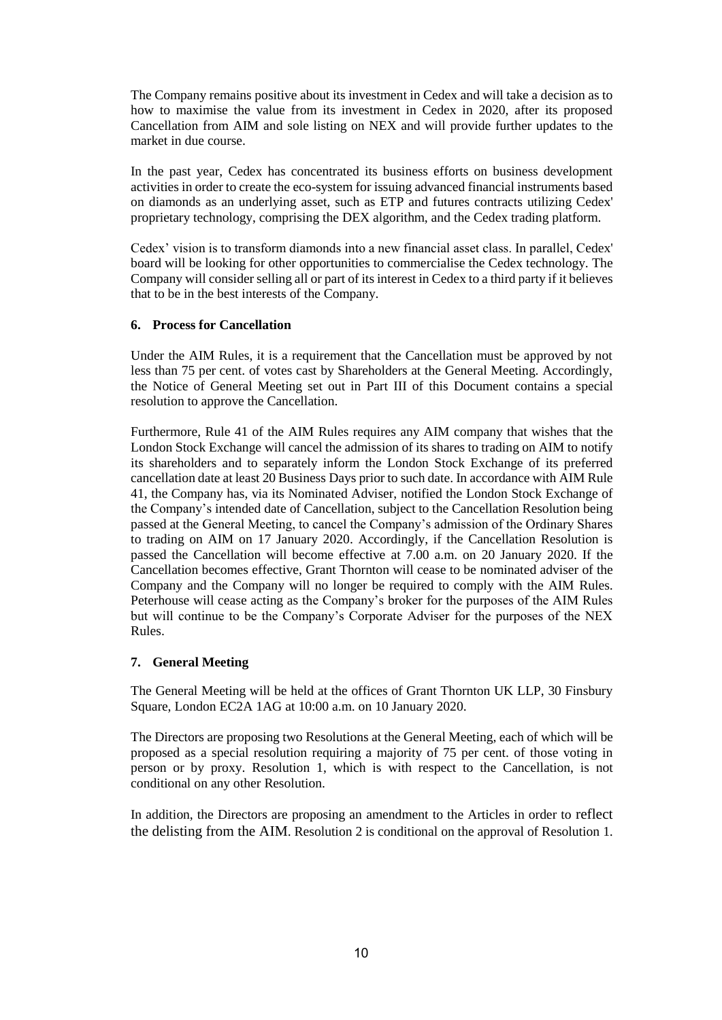The Company remains positive about its investment in Cedex and will take a decision as to how to maximise the value from its investment in Cedex in 2020, after its proposed Cancellation from AIM and sole listing on NEX and will provide further updates to the market in due course.

In the past year, Cedex has concentrated its business efforts on business development activities in order to create the eco-system for issuing advanced financial instruments based on diamonds as an underlying asset, such as ETP and futures contracts utilizing Cedex' proprietary technology, comprising the DEX algorithm, and the Cedex trading platform.

Cedex' vision is to transform diamonds into a new financial asset class. In parallel, Cedex' board will be looking for other opportunities to commercialise the Cedex technology. The Company will consider selling all or part of its interest in Cedex to a third party if it believes that to be in the best interests of the Company.

### **6. Process for Cancellation**

Under the AIM Rules, it is a requirement that the Cancellation must be approved by not less than 75 per cent. of votes cast by Shareholders at the General Meeting. Accordingly, the Notice of General Meeting set out in Part III of this Document contains a special resolution to approve the Cancellation.

Furthermore, Rule 41 of the AIM Rules requires any AIM company that wishes that the London Stock Exchange will cancel the admission of its shares to trading on AIM to notify its shareholders and to separately inform the London Stock Exchange of its preferred cancellation date at least 20 Business Days prior to such date. In accordance with AIM Rule 41, the Company has, via its Nominated Adviser, notified the London Stock Exchange of the Company's intended date of Cancellation, subject to the Cancellation Resolution being passed at the General Meeting, to cancel the Company's admission of the Ordinary Shares to trading on AIM on 17 January 2020. Accordingly, if the Cancellation Resolution is passed the Cancellation will become effective at 7.00 a.m. on 20 January 2020. If the Cancellation becomes effective, Grant Thornton will cease to be nominated adviser of the Company and the Company will no longer be required to comply with the AIM Rules. Peterhouse will cease acting as the Company's broker for the purposes of the AIM Rules but will continue to be the Company's Corporate Adviser for the purposes of the NEX Rules.

### **7. General Meeting**

The General Meeting will be held at the offices of Grant Thornton UK LLP, 30 Finsbury Square, London EC2A 1AG at 10:00 a.m. on 10 January 2020.

The Directors are proposing two Resolutions at the General Meeting, each of which will be proposed as a special resolution requiring a majority of 75 per cent. of those voting in person or by proxy. Resolution 1, which is with respect to the Cancellation, is not conditional on any other Resolution.

In addition, the Directors are proposing an amendment to the Articles in order to reflect the delisting from the AIM. Resolution 2 is conditional on the approval of Resolution 1.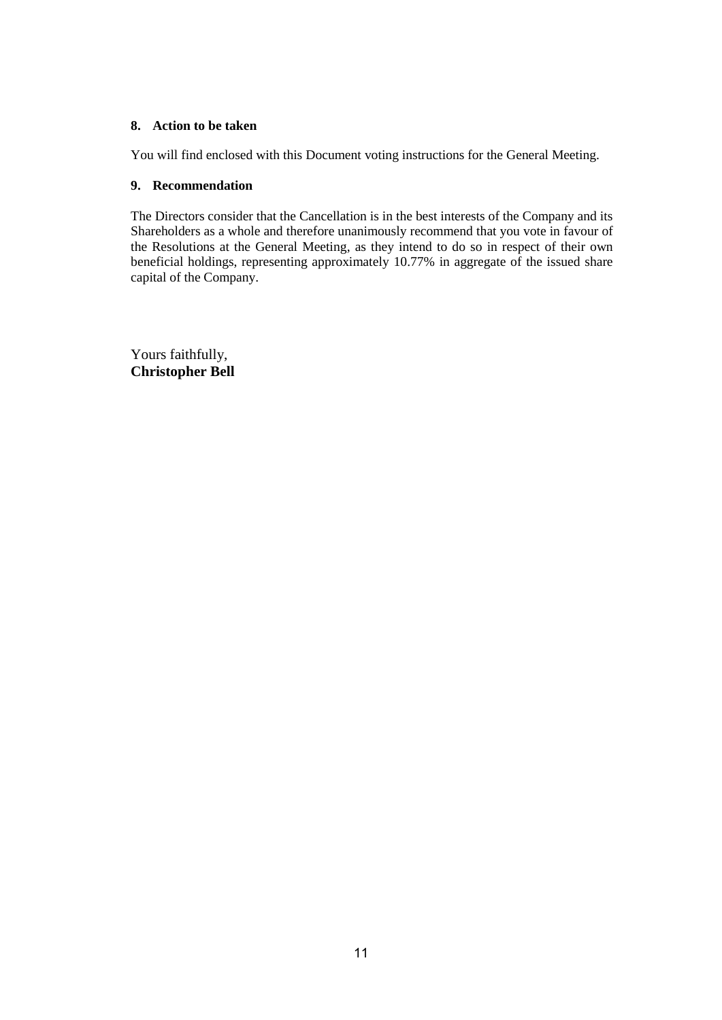### **8. Action to be taken**

You will find enclosed with this Document voting instructions for the General Meeting.

#### **9. Recommendation**

The Directors consider that the Cancellation is in the best interests of the Company and its Shareholders as a whole and therefore unanimously recommend that you vote in favour of the Resolutions at the General Meeting, as they intend to do so in respect of their own beneficial holdings, representing approximately 10.77% in aggregate of the issued share capital of the Company.

Yours faithfully, **Christopher Bell**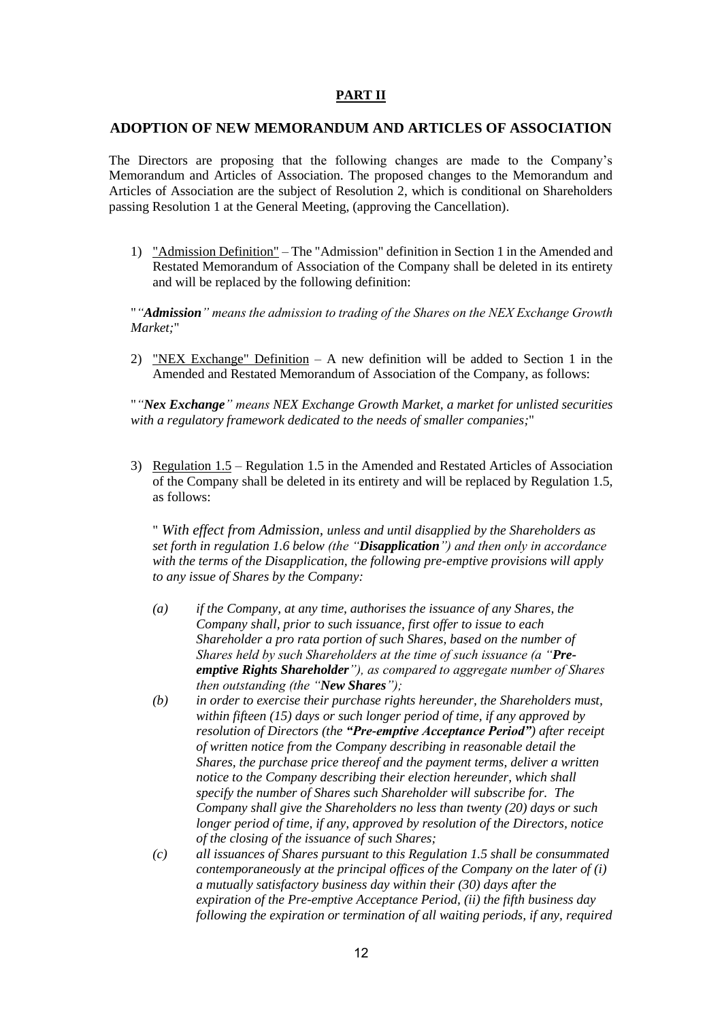#### **PART II**

#### **ADOPTION OF NEW MEMORANDUM AND ARTICLES OF ASSOCIATION**

The Directors are proposing that the following changes are made to the Company's Memorandum and Articles of Association. The proposed changes to the Memorandum and Articles of Association are the subject of Resolution 2, which is conditional on Shareholders passing Resolution 1 at the General Meeting, (approving the Cancellation).

1) "Admission Definition" – The "Admission" definition in Section 1 in the Amended and Restated Memorandum of Association of the Company shall be deleted in its entirety and will be replaced by the following definition:

"*"Admission" means the admission to trading of the Shares on the NEX Exchange Growth Market;*"

2) "NEX Exchange" Definition – A new definition will be added to Section 1 in the Amended and Restated Memorandum of Association of the Company, as follows:

"*"Nex Exchange" means NEX Exchange Growth Market, a market for unlisted securities with a regulatory framework dedicated to the needs of smaller companies;*"

3) Regulation 1.5 – Regulation 1.5 in the Amended and Restated Articles of Association of the Company shall be deleted in its entirety and will be replaced by Regulation 1.5, as follows:

" *With effect from Admission, unless and until disapplied by the Shareholders as set forth in regulation 1.6 below (the "Disapplication") and then only in accordance with the terms of the Disapplication, the following pre-emptive provisions will apply to any issue of Shares by the Company:*

- *(a) if the Company, at any time, authorises the issuance of any Shares, the Company shall, prior to such issuance, first offer to issue to each Shareholder a pro rata portion of such Shares, based on the number of Shares held by such Shareholders at the time of such issuance (a "Preemptive Rights Shareholder"), as compared to aggregate number of Shares then outstanding (the "New Shares");*
- *(b) in order to exercise their purchase rights hereunder, the Shareholders must, within fifteen (15) days or such longer period of time, if any approved by resolution of Directors (the "Pre-emptive Acceptance Period") after receipt of written notice from the Company describing in reasonable detail the Shares, the purchase price thereof and the payment terms, deliver a written notice to the Company describing their election hereunder, which shall specify the number of Shares such Shareholder will subscribe for. The Company shall give the Shareholders no less than twenty (20) days or such longer period of time, if any, approved by resolution of the Directors, notice of the closing of the issuance of such Shares;*
- *(c) all issuances of Shares pursuant to this Regulation 1.5 shall be consummated contemporaneously at the principal offices of the Company on the later of (i) a mutually satisfactory business day within their (30) days after the expiration of the Pre-emptive Acceptance Period, (ii) the fifth business day following the expiration or termination of all waiting periods, if any, required*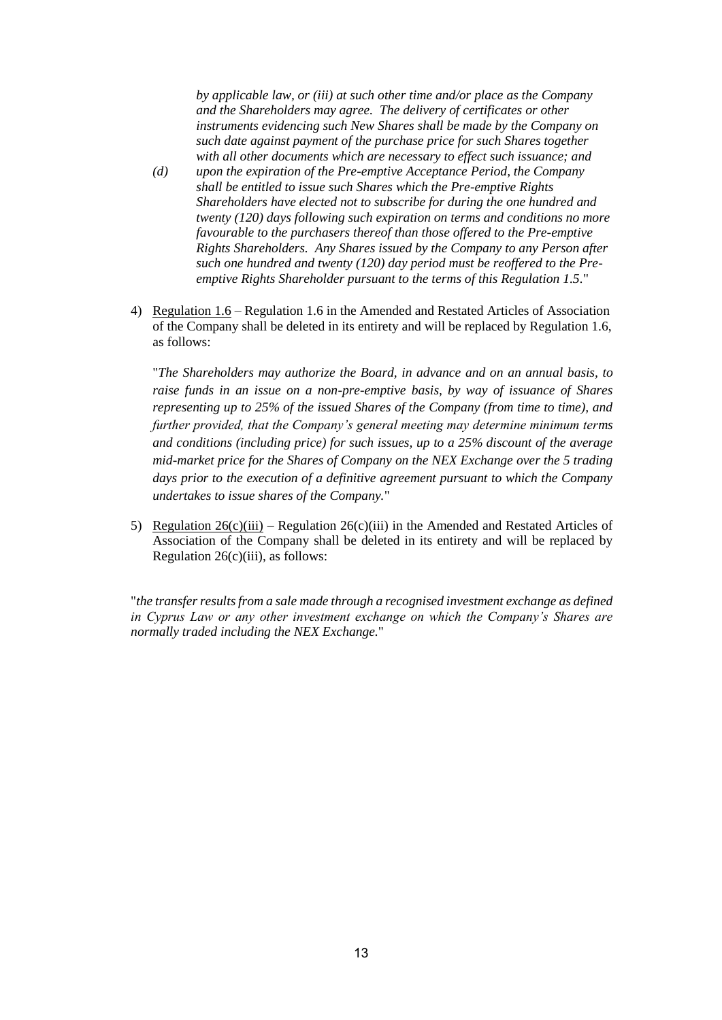*by applicable law, or (iii) at such other time and/or place as the Company and the Shareholders may agree. The delivery of certificates or other instruments evidencing such New Shares shall be made by the Company on such date against payment of the purchase price for such Shares together with all other documents which are necessary to effect such issuance; and*

- *(d) upon the expiration of the Pre-emptive Acceptance Period, the Company shall be entitled to issue such Shares which the Pre-emptive Rights Shareholders have elected not to subscribe for during the one hundred and twenty (120) days following such expiration on terms and conditions no more favourable to the purchasers thereof than those offered to the Pre-emptive Rights Shareholders. Any Shares issued by the Company to any Person after such one hundred and twenty (120) day period must be reoffered to the Preemptive Rights Shareholder pursuant to the terms of this Regulation 1.5.*"
- 4) Regulation 1.6 Regulation 1.6 in the Amended and Restated Articles of Association of the Company shall be deleted in its entirety and will be replaced by Regulation 1.6, as follows:

"*The Shareholders may authorize the Board, in advance and on an annual basis, to raise funds in an issue on a non-pre-emptive basis, by way of issuance of Shares representing up to 25% of the issued Shares of the Company (from time to time), and further provided, that the Company's general meeting may determine minimum terms and conditions (including price) for such issues, up to a 25% discount of the average mid-market price for the Shares of Company on the NEX Exchange over the 5 trading days prior to the execution of a definitive agreement pursuant to which the Company undertakes to issue shares of the Company.*"

5) Regulation  $26(c)(iii)$  – Regulation  $26(c)(iii)$  in the Amended and Restated Articles of Association of the Company shall be deleted in its entirety and will be replaced by Regulation  $26(c)(iii)$ , as follows:

"*the transfer results from a sale made through a recognised investment exchange as defined in Cyprus Law or any other investment exchange on which the Company's Shares are normally traded including the NEX Exchange.*"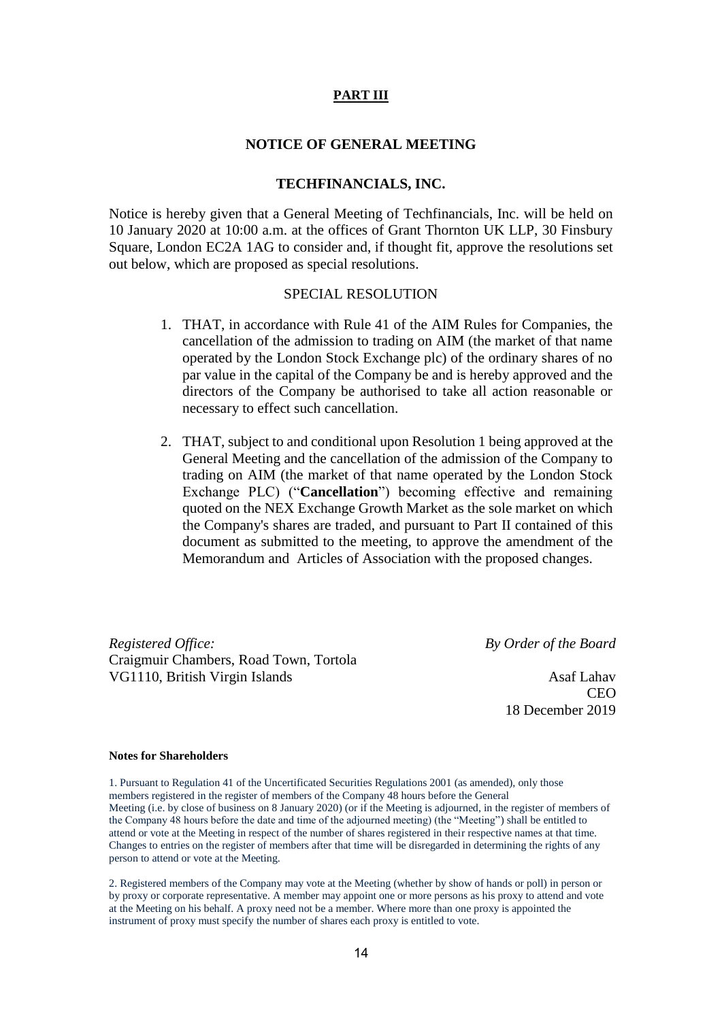#### **PART III**

#### **NOTICE OF GENERAL MEETING**

#### **TECHFINANCIALS, INC.**

Notice is hereby given that a General Meeting of Techfinancials, Inc. will be held on 10 January 2020 at 10:00 a.m. at the offices of Grant Thornton UK LLP, 30 Finsbury Square, London EC2A 1AG to consider and, if thought fit, approve the resolutions set out below, which are proposed as special resolutions.

#### SPECIAL RESOLUTION

- 1. THAT, in accordance with Rule 41 of the AIM Rules for Companies, the cancellation of the admission to trading on AIM (the market of that name operated by the London Stock Exchange plc) of the ordinary shares of no par value in the capital of the Company be and is hereby approved and the directors of the Company be authorised to take all action reasonable or necessary to effect such cancellation.
- 2. THAT, subject to and conditional upon Resolution 1 being approved at the General Meeting and the cancellation of the admission of the Company to trading on AIM (the market of that name operated by the London Stock Exchange PLC) ("**Cancellation**") becoming effective and remaining quoted on the NEX Exchange Growth Market as the sole market on which the Company's shares are traded, and pursuant to Part II contained of this document as submitted to the meeting, to approve the amendment of the Memorandum and Articles of Association with the proposed changes.

*Registered Office: By Order of the Board* Craigmuir Chambers, Road Town, Tortola VG1110, British Virgin Islands Asaf Lahav

CEO 18 December 2019

#### **Notes for Shareholders**

1. Pursuant to Regulation 41 of the Uncertificated Securities Regulations 2001 (as amended), only those members registered in the register of members of the Company 48 hours before the General Meeting (i.e. by close of business on 8 January 2020) (or if the Meeting is adjourned, in the register of members of the Company 48 hours before the date and time of the adjourned meeting) (the "Meeting") shall be entitled to attend or vote at the Meeting in respect of the number of shares registered in their respective names at that time. Changes to entries on the register of members after that time will be disregarded in determining the rights of any person to attend or vote at the Meeting.

2. Registered members of the Company may vote at the Meeting (whether by show of hands or poll) in person or by proxy or corporate representative. A member may appoint one or more persons as his proxy to attend and vote at the Meeting on his behalf. A proxy need not be a member. Where more than one proxy is appointed the instrument of proxy must specify the number of shares each proxy is entitled to vote.